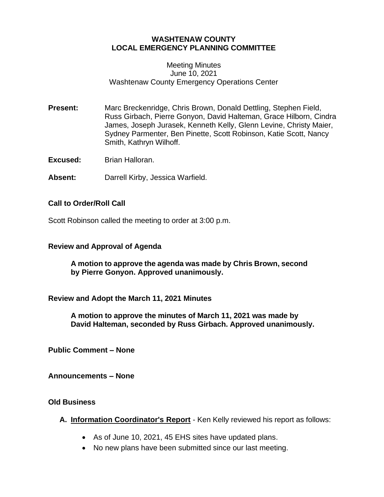# **WASHTENAW COUNTY LOCAL EMERGENCY PLANNING COMMITTEE**

### Meeting Minutes June 10, 2021 Washtenaw County Emergency Operations Center

**Present:** Marc Breckenridge, Chris Brown, Donald Dettling, Stephen Field, Russ Girbach, Pierre Gonyon, David Halteman, Grace Hilborn, Cindra James, Joseph Jurasek, Kenneth Kelly, Glenn Levine, Christy Maier, Sydney Parmenter, Ben Pinette, Scott Robinson, Katie Scott, Nancy Smith, Kathryn Wilhoff.

**Excused:** Brian Halloran.

**Absent:** Darrell Kirby, Jessica Warfield.

## **Call to Order/Roll Call**

Scott Robinson called the meeting to order at 3:00 p.m.

### **Review and Approval of Agenda**

**A motion to approve the agenda was made by Chris Brown, second by Pierre Gonyon. Approved unanimously.**

**Review and Adopt the March 11, 2021 Minutes**

**A motion to approve the minutes of March 11, 2021 was made by David Halteman, seconded by Russ Girbach. Approved unanimously.**

**Public Comment – None**

**Announcements – None**

## **Old Business**

**A. Information Coordinator's Report** - Ken Kelly reviewed his report as follows:

- As of June 10, 2021, 45 EHS sites have updated plans.
- No new plans have been submitted since our last meeting.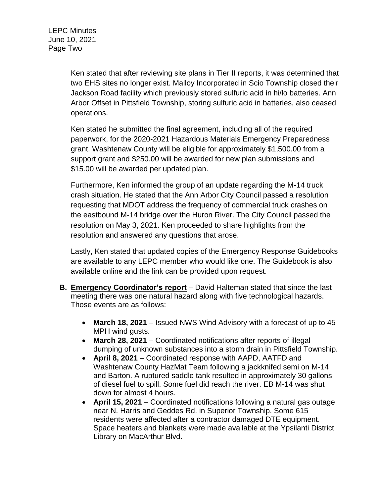Ken stated that after reviewing site plans in Tier II reports, it was determined that two EHS sites no longer exist. Malloy Incorporated in Scio Township closed their Jackson Road facility which previously stored sulfuric acid in hi/lo batteries. Ann Arbor Offset in Pittsfield Township, storing sulfuric acid in batteries, also ceased operations.

Ken stated he submitted the final agreement, including all of the required paperwork, for the 2020-2021 Hazardous Materials Emergency Preparedness grant. Washtenaw County will be eligible for approximately \$1,500.00 from a support grant and \$250.00 will be awarded for new plan submissions and \$15.00 will be awarded per updated plan.

Furthermore, Ken informed the group of an update regarding the M-14 truck crash situation. He stated that the Ann Arbor City Council passed a resolution requesting that MDOT address the frequency of commercial truck crashes on the eastbound M-14 bridge over the Huron River. The City Council passed the resolution on May 3, 2021. Ken proceeded to share highlights from the resolution and answered any questions that arose.

Lastly, Ken stated that updated copies of the Emergency Response Guidebooks are available to any LEPC member who would like one. The Guidebook is also available online and the link can be provided upon request.

- **B. Emergency Coordinator's report** David Halteman stated that since the last meeting there was one natural hazard along with five technological hazards. Those events are as follows:
	- **March 18, 2021** Issued NWS Wind Advisory with a forecast of up to 45 MPH wind gusts.
	- **March 28, 2021** Coordinated notifications after reports of illegal dumping of unknown substances into a storm drain in Pittsfield Township.
	- **April 8, 2021** Coordinated response with AAPD, AATFD and Washtenaw County HazMat Team following a jackknifed semi on M-14 and Barton. A ruptured saddle tank resulted in approximately 30 gallons of diesel fuel to spill. Some fuel did reach the river. EB M-14 was shut down for almost 4 hours.
	- **April 15, 2021** Coordinated notifications following a natural gas outage near N. Harris and Geddes Rd. in Superior Township. Some 615 residents were affected after a contractor damaged DTE equipment. Space heaters and blankets were made available at the Ypsilanti District Library on MacArthur Blvd.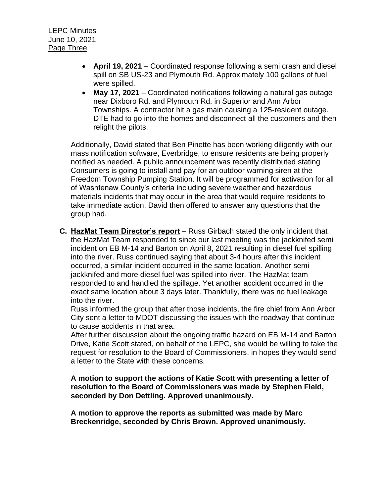- **April 19, 2021** Coordinated response following a semi crash and diesel spill on SB US-23 and Plymouth Rd. Approximately 100 gallons of fuel were spilled.
- **May 17, 2021** Coordinated notifications following a natural gas outage near Dixboro Rd. and Plymouth Rd. in Superior and Ann Arbor Townships. A contractor hit a gas main causing a 125-resident outage. DTE had to go into the homes and disconnect all the customers and then relight the pilots.

Additionally, David stated that Ben Pinette has been working diligently with our mass notification software, Everbridge, to ensure residents are being properly notified as needed. A public announcement was recently distributed stating Consumers is going to install and pay for an outdoor warning siren at the Freedom Township Pumping Station. It will be programmed for activation for all of Washtenaw County's criteria including severe weather and hazardous materials incidents that may occur in the area that would require residents to take immediate action. David then offered to answer any questions that the group had.

**C. HazMat Team Director's report** – Russ Girbach stated the only incident that the HazMat Team responded to since our last meeting was the jackknifed semi incident on EB M-14 and Barton on April 8, 2021 resulting in diesel fuel spilling into the river. Russ continued saying that about 3-4 hours after this incident occurred, a similar incident occurred in the same location. Another semi jackknifed and more diesel fuel was spilled into river. The HazMat team responded to and handled the spillage. Yet another accident occurred in the exact same location about 3 days later. Thankfully, there was no fuel leakage into the river.

Russ informed the group that after those incidents, the fire chief from Ann Arbor City sent a letter to MDOT discussing the issues with the roadway that continue to cause accidents in that area.

After further discussion about the ongoing traffic hazard on EB M-14 and Barton Drive, Katie Scott stated, on behalf of the LEPC, she would be willing to take the request for resolution to the Board of Commissioners, in hopes they would send a letter to the State with these concerns.

**A motion to support the actions of Katie Scott with presenting a letter of resolution to the Board of Commissioners was made by Stephen Field, seconded by Don Dettling. Approved unanimously.** 

**A motion to approve the reports as submitted was made by Marc Breckenridge, seconded by Chris Brown. Approved unanimously.**